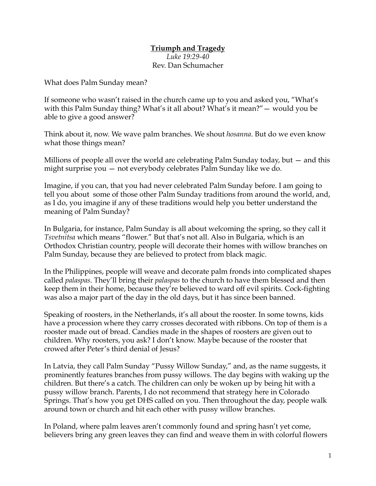## **Triumph and Tragedy** *Luke 19:29-40* Rev. Dan Schumacher

What does Palm Sunday mean?

If someone who wasn't raised in the church came up to you and asked you, "What's with this Palm Sunday thing? What's it all about? What's it mean?"— would you be able to give a good answer?

Think about it, now. We wave palm branches. We shout *hosanna*. But do we even know what those things mean?

Millions of people all over the world are celebrating Palm Sunday today, but — and this might surprise you — not everybody celebrates Palm Sunday like we do.

Imagine, if you can, that you had never celebrated Palm Sunday before. I am going to tell you about some of those other Palm Sunday traditions from around the world, and, as I do, you imagine if any of these traditions would help you better understand the meaning of Palm Sunday?

In Bulgaria, for instance, Palm Sunday is all about welcoming the spring, so they call it *Tsvetnitsa* which means "flower." But that's not all. Also in Bulgaria, which is an Orthodox Christian country, people will decorate their homes with willow branches on Palm Sunday, because they are believed to protect from black magic.

In the Philippines, people will weave and decorate palm fronds into complicated shapes called *palaspas*. They'll bring their *palaspas* to the church to have them blessed and then keep them in their home, because they're believed to ward off evil spirits. Cock-fighting was also a major part of the day in the old days, but it has since been banned.

Speaking of roosters, in the Netherlands, it's all about the rooster. In some towns, kids have a procession where they carry crosses decorated with ribbons. On top of them is a rooster made out of bread. Candies made in the shapes of roosters are given out to children. Why roosters, you ask? I don't know. Maybe because of the rooster that crowed after Peter's third denial of Jesus?

In Latvia, they call Palm Sunday "Pussy Willow Sunday," and, as the name suggests, it prominently features branches from pussy willows. The day begins with waking up the children. But there's a catch. The children can only be woken up by being hit with a pussy willow branch. Parents, I do not recommend that strategy here in Colorado Springs. That's how you get DHS called on you. Then throughout the day, people walk around town or church and hit each other with pussy willow branches.

In Poland, where palm leaves aren't commonly found and spring hasn't yet come, believers bring any green leaves they can find and weave them in with colorful flowers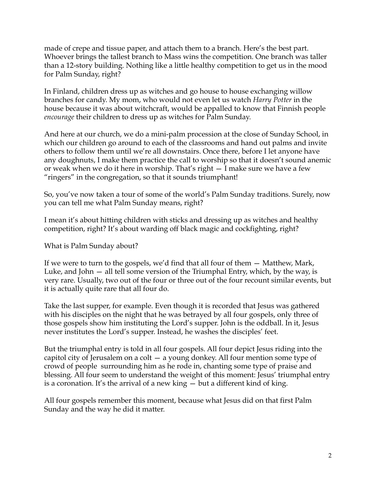made of crepe and tissue paper, and attach them to a branch. Here's the best part. Whoever brings the tallest branch to Mass wins the competition. One branch was taller than a 12-story building. Nothing like a little healthy competition to get us in the mood for Palm Sunday, right?

In Finland, children dress up as witches and go house to house exchanging willow branches for candy. My mom, who would not even let us watch *Harry Potter* in the house because it was about witchcraft, would be appalled to know that Finnish people *encourage* their children to dress up as witches for Palm Sunday.

And here at our church, we do a mini-palm procession at the close of Sunday School, in which our children go around to each of the classrooms and hand out palms and invite others to follow them until we're all downstairs. Once there, before I let anyone have any doughnuts, I make them practice the call to worship so that it doesn't sound anemic or weak when we do it here in worship. That's right — I make sure we have a few "ringers" in the congregation, so that it sounds triumphant!

So, you've now taken a tour of some of the world's Palm Sunday traditions. Surely, now you can tell me what Palm Sunday means, right?

I mean it's about hitting children with sticks and dressing up as witches and healthy competition, right? It's about warding off black magic and cockfighting, right?

What is Palm Sunday about?

If we were to turn to the gospels, we'd find that all four of them — Matthew, Mark, Luke, and John — all tell some version of the Triumphal Entry, which, by the way, is very rare. Usually, two out of the four or three out of the four recount similar events, but it is actually quite rare that all four do.

Take the last supper, for example. Even though it is recorded that Jesus was gathered with his disciples on the night that he was betrayed by all four gospels, only three of those gospels show him instituting the Lord's supper. John is the oddball. In it, Jesus never institutes the Lord's supper. Instead, he washes the disciples' feet.

But the triumphal entry is told in all four gospels. All four depict Jesus riding into the capitol city of Jerusalem on a colt — a young donkey. All four mention some type of crowd of people surrounding him as he rode in, chanting some type of praise and blessing. All four seem to understand the weight of this moment: Jesus' triumphal entry is a coronation. It's the arrival of a new king — but a different kind of king.

All four gospels remember this moment, because what Jesus did on that first Palm Sunday and the way he did it matter.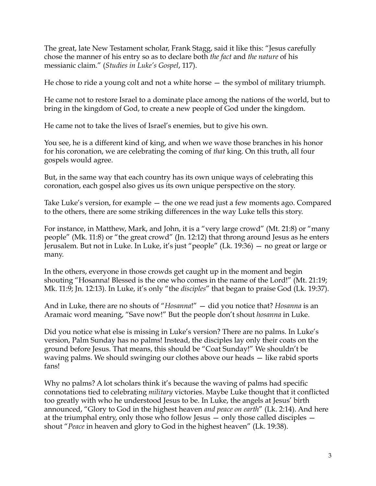The great, late New Testament scholar, Frank Stagg, said it like this: "Jesus carefully chose the manner of his entry so as to declare both *the fact* and *the nature* of his messianic claim." (*Studies in Luke's Gospel*, 117).

He chose to ride a young colt and not a white horse — the symbol of military triumph.

He came not to restore Israel to a dominate place among the nations of the world, but to bring in the kingdom of God, to create a new people of God under the kingdom.

He came not to take the lives of Israel's enemies, but to give his own.

You see, he is a different kind of king, and when we wave those branches in his honor for his coronation, we are celebrating the coming of *that* king. On this truth, all four gospels would agree.

But, in the same way that each country has its own unique ways of celebrating this coronation, each gospel also gives us its own unique perspective on the story.

Take Luke's version, for example — the one we read just a few moments ago. Compared to the others, there are some striking differences in the way Luke tells this story.

For instance, in Matthew, Mark, and John, it is a "very large crowd" (Mt. 21:8) or "many people" (Mk. 11:8) or "the great crowd" (Jn. 12:12) that throng around Jesus as he enters Jerusalem. But not in Luke. In Luke, it's just "people" (Lk. 19:36) — no great or large or many.

In the others, everyone in those crowds get caught up in the moment and begin shouting "Hosanna! Blessed is the one who comes in the name of the Lord!" (Mt. 21:19; Mk. 11:9; Jn. 12:13). In Luke, it's only "the *disciples*" that began to praise God (Lk. 19:37).

And in Luke, there are no shouts of "*Hosanna*!" — did you notice that? *Hosanna* is an Aramaic word meaning, "Save now!" But the people don't shout *hosanna* in Luke.

Did you notice what else is missing in Luke's version? There are no palms. In Luke's version, Palm Sunday has no palms! Instead, the disciples lay only their coats on the ground before Jesus. That means, this should be "Coat Sunday!" We shouldn't be waving palms. We should swinging our clothes above our heads — like rabid sports fans!

Why no palms? A lot scholars think it's because the waving of palms had specific connotations tied to celebrating *military* victories. Maybe Luke thought that it conflicted too greatly with who he understood Jesus to be. In Luke, the angels at Jesus' birth announced, "Glory to God in the highest heaven *and peace on earth*" (Lk. 2:14). And here at the triumphal entry, only those who follow Jesus — only those called disciples shout "*Peace* in heaven and glory to God in the highest heaven" (Lk. 19:38).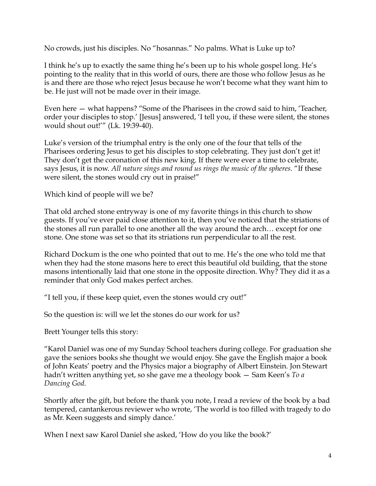No crowds, just his disciples. No "hosannas." No palms. What is Luke up to?

I think he's up to exactly the same thing he's been up to his whole gospel long. He's pointing to the reality that in this world of ours, there are those who follow Jesus as he is and there are those who reject Jesus because he won't become what they want him to be. He just will not be made over in their image.

Even here — what happens? "Some of the Pharisees in the crowd said to him, 'Teacher, order your disciples to stop.' [Jesus] answered, 'I tell you, if these were silent, the stones would shout out!'" (Lk. 19:39-40).

Luke's version of the triumphal entry is the only one of the four that tells of the Pharisees ordering Jesus to get his disciples to stop celebrating. They just don't get it! They don't get the coronation of this new king. If there were ever a time to celebrate, says Jesus, it is now. *All nature sings and round us rings the music of the spheres.* "If these were silent, the stones would cry out in praise!"

Which kind of people will we be?

That old arched stone entryway is one of my favorite things in this church to show guests. If you've ever paid close attention to it, then you've noticed that the striations of the stones all run parallel to one another all the way around the arch… except for one stone. One stone was set so that its striations run perpendicular to all the rest.

Richard Dockum is the one who pointed that out to me. He's the one who told me that when they had the stone masons here to erect this beautiful old building, that the stone masons intentionally laid that one stone in the opposite direction. Why? They did it as a reminder that only God makes perfect arches.

"I tell you, if these keep quiet, even the stones would cry out!"

So the question is: will we let the stones do our work for us?

Brett Younger tells this story:

"Karol Daniel was one of my Sunday School teachers during college. For graduation she gave the seniors books she thought we would enjoy. She gave the English major a book of John Keats' poetry and the Physics major a biography of Albert Einstein. Jon Stewart hadn't written anything yet, so she gave me a theology book — Sam Keen's *To a Dancing God*.

Shortly after the gift, but before the thank you note, I read a review of the book by a bad tempered, cantankerous reviewer who wrote, 'The world is too filled with tragedy to do as Mr. Keen suggests and simply dance.'

When I next saw Karol Daniel she asked, 'How do you like the book?'